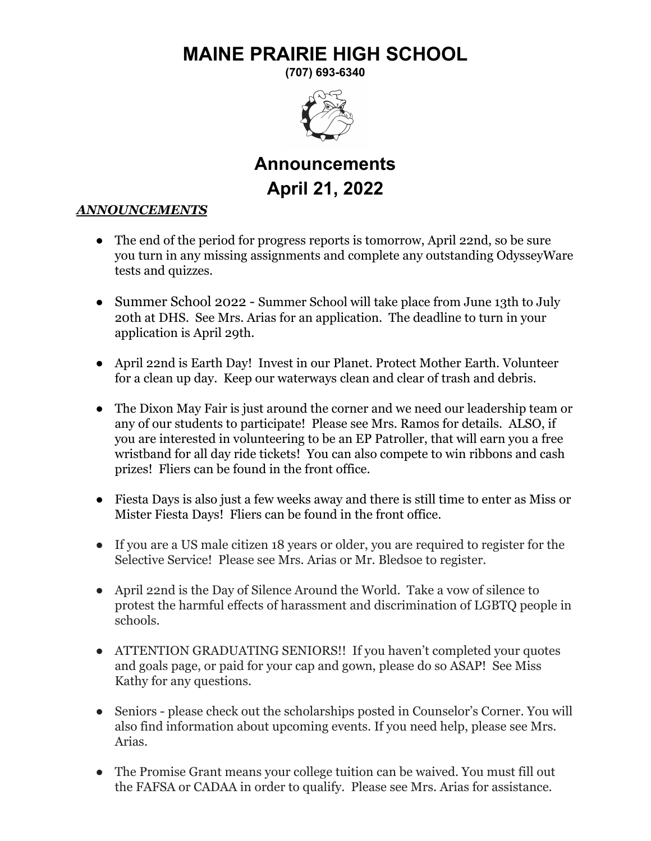## **MAINE PRAIRIE HIGH SCHOOL**

**(707) 693-6340**



## **Announcements April 21, 2022**

## *ANNOUNCEMENTS*

- The end of the period for progress reports is tomorrow, April 22nd, so be sure you turn in any missing assignments and complete any outstanding OdysseyWare tests and quizzes.
- Summer School 2022 Summer School will take place from June 13th to July 20th at DHS. See Mrs. Arias for an application. The deadline to turn in your application is April 29th.
- April 22nd is Earth Day! Invest in our Planet. Protect Mother Earth. Volunteer for a clean up day. Keep our waterways clean and clear of trash and debris.
- The Dixon May Fair is just around the corner and we need our leadership team or any of our students to participate! Please see Mrs. Ramos for details. ALSO, if you are interested in volunteering to be an EP Patroller, that will earn you a free wristband for all day ride tickets! You can also compete to win ribbons and cash prizes! Fliers can be found in the front office.
- Fiesta Days is also just a few weeks away and there is still time to enter as Miss or Mister Fiesta Days! Fliers can be found in the front office.
- If you are a US male citizen 18 years or older, you are required to register for the Selective Service! Please see Mrs. Arias or Mr. Bledsoe to register.
- April 22nd is the Day of Silence Around the World. Take a vow of silence to protest the harmful effects of harassment and discrimination of LGBTQ people in schools.
- ATTENTION GRADUATING SENIORS!! If you haven't completed your quotes and goals page, or paid for your cap and gown, please do so ASAP! See Miss Kathy for any questions.
- Seniors please check out the scholarships posted in Counselor's Corner. You will also find information about upcoming events. If you need help, please see Mrs. Arias.
- The Promise Grant means your college tuition can be waived. You must fill out the FAFSA or CADAA in order to qualify. Please see Mrs. Arias for assistance.